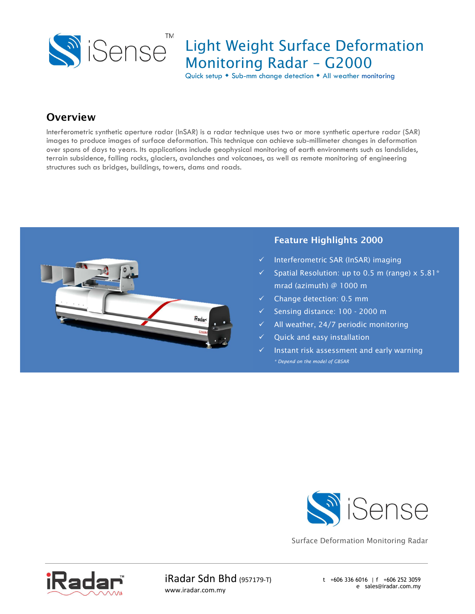

## Light Weight Surface Deformation Monitoring Radar – G2000

Quick setup  $\bullet$  Sub-mm change detection  $\bullet$  All weather monitoring

### **Overview**

Interferometric synthetic aperture radar (InSAR) is a radar technique uses two or more synthetic aperture radar (SAR) images to produce images of surface deformation. This technique can achieve sub-millimeter changes in deformation over spans of days to years. Its applications include geophysical monitoring of earth environments such as landslides, terrain subsidence, falling rocks, glaciers, avalanches and volcanoes, as well as remote monitoring of engineering structures such as bridges, buildings, towers, dams and roads.



#### Feature Highlights 2000

- Interferometric SAR (InSAR) imaging
- Spatial Resolution: up to 0.5 m (range) x 5.81\* mrad (azimuth) @ 1000 m
- Change detection: 0.5 mm
- Sensing distance: 100 2000 m
- $\checkmark$  All weather, 24/7 periodic monitoring
- Quick and easy installation
- Instant risk assessment and early warning \* Depend on the model of GBSAR



Surface Deformation Monitoring Radar



iRadar Sdn Bhd (957179-T) www.iradar.com.my

t +606 336 6016 | f +606 252 3059 e sales@iradar.com.my